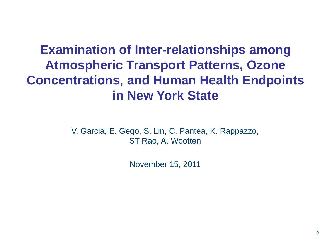# **Examination of Inter-relationships among Atmospheric Transport Patterns, Ozone Concentrations, and Human Health Endpoints in New York State**

V. Garcia, E. Gego, S. Lin, C. Pantea, K. Rappazzo, ST Rao, A. Wootten

November 15, 2011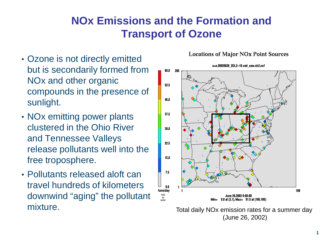### **NOx Emissions and the Formation and Transport of Ozone**

- Ozone is not directly emitted but is secondarily formed from NOx and other organic compounds in the presence of sunlight.
- NOx emitting power plants clustered in the Ohio River and Tennessee Valleys release pollutants well into the free troposphere.
- Pollutants released aloft can travel hundreds of kilometers downwind "aging" the pollutant mixture. Total daily NO<sub>x</sub> emission rates for a summer day

#### **Locations of Major NOx Point Sources**



(June 26, 2002)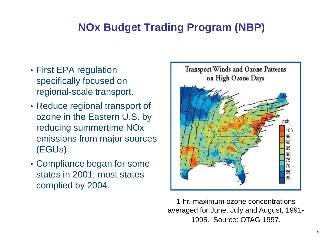### **NOx Budget Trading Program (NBP)**

- First EPA regulation specifically focused on regional-scale transport.
- Reduce regional transport of ozone in the Eastern U.S. by reducing summertime NOx emissions from major sources (EGUs).
- Compliance began for some states in 2001; most states complied by 2004.



1-hr. maximum ozone concentrations averaged for June, July and August, 1991- 1995. Source: OTAG 1997.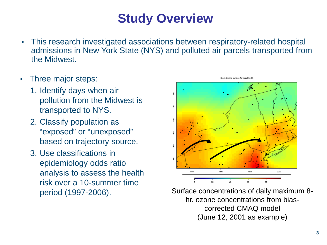# **Study Overview**

- This research investigated associations between respiratory-related hospital admissions in New York State (NYS) and polluted air parcels transported from the Midwest.
- Three major steps:
	- 1. Identify days when air pollution from the Midwest is transported to NYS.
	- 2. Classify population as "exposed" or "unexposed" based on trajectory source.
	- 3. Use classifications in epidemiology odds ratio analysis to assess the health risk over a 10-summer time



period (1997-2006). Surface concentrations of daily maximum 8 hr. ozone concentrations from biascorrected CMAQ model (June 12, 2001 as example)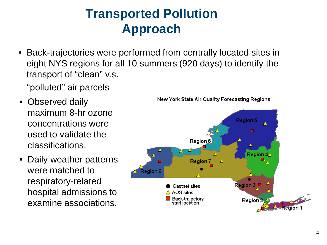# **Transported Pollution Approach**

• Back-trajectories were performed from centrally located sites in eight NYS regions for all 10 summers (920 days) to identify the transport of "clean" v.s.

"polluted" air parcels

- Observed daily maximum 8-hr ozone concentrations were used to validate the classifications.
- Daily weather patterns were matched to respiratory-related hospital admissions to examine associations.



New York State Air Quality Forecasting Regions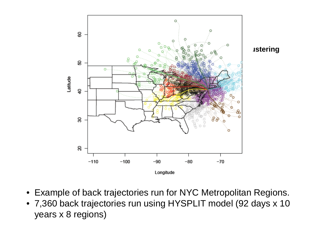

- Example of back trajectories run for NYC Metropolitan Regions.
- 7,360 back trajectories run using HYSPLIT model (92 days x 10 years x 8 regions)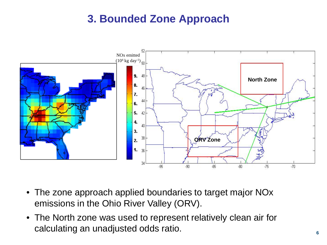### **3. Bounded Zone Approach**



- The zone approach applied boundaries to target major NOx emissions in the Ohio River Valley (ORV).
- The North zone was used to represent relatively clean air for calculating an unadjusted odds ratio.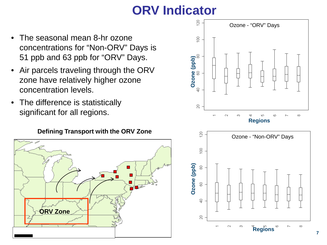# **ORV Indicator**

- The seasonal mean 8-hr ozone concentrations for "Non-ORV" Days is 51 ppb and 63 ppb for "ORV" Days.
- Air parcels traveling through the ORV zone have relatively higher ozone concentration levels.
- The difference is statistically significant for all regions.

#### **Defining Transport with the ORV Zone**





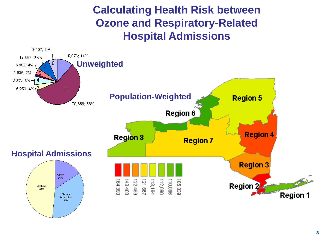**Calculating Health Risk between Ozone and Respiratory-Related Hospital Admissions**

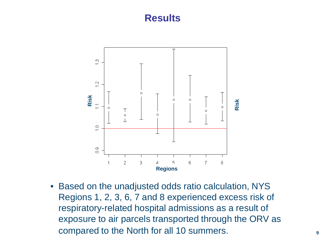### **Results**



• Based on the unadjusted odds ratio calculation, NYS Regions 1, 2, 3, 6, 7 and 8 experienced excess risk of respiratory-related hospital admissions as a result of exposure to air parcels transported through the ORV as compared to the North for all 10 summers.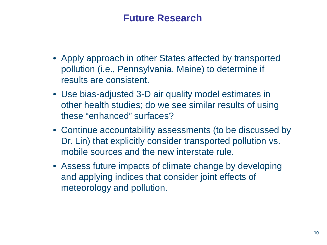### **Future Research**

- Apply approach in other States affected by transported pollution (i.e., Pennsylvania, Maine) to determine if results are consistent.
- Use bias-adjusted 3-D air quality model estimates in other health studies; do we see similar results of using these "enhanced" surfaces?
- Continue accountability assessments (to be discussed by Dr. Lin) that explicitly consider transported pollution vs. mobile sources and the new interstate rule.
- Assess future impacts of climate change by developing and applying indices that consider joint effects of meteorology and pollution.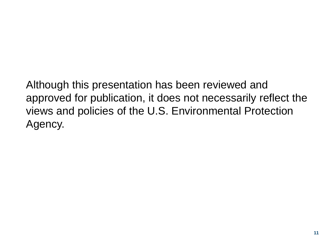Although this presentation has been reviewed and approved for publication, it does not necessarily reflect the views and policies of the U.S. Environmental Protection Agency.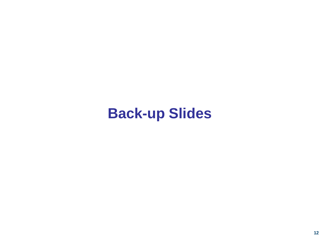# **Back-up Slides**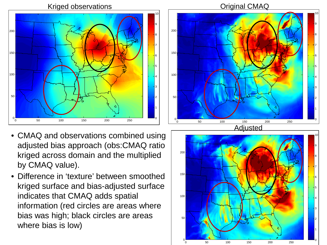

- CMAQ and observations combined using adjusted bias approach (obs:CMAQ ratio kriged across domain and the multiplied by CMAQ value).
- Difference in 'texture' between smoothed kriged surface and bias-adjusted surface indicates that CMAQ adds spatial information (red circles are areas where bias was high; black circles are areas where bias is low)





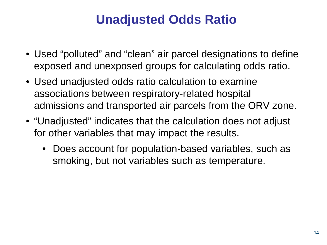# **Unadjusted Odds Ratio**

- Used "polluted" and "clean" air parcel designations to define exposed and unexposed groups for calculating odds ratio.
- Used unadjusted odds ratio calculation to examine associations between respiratory-related hospital admissions and transported air parcels from the ORV zone.
- "Unadjusted" indicates that the calculation does not adjust for other variables that may impact the results.
	- Does account for population-based variables, such as smoking, but not variables such as temperature.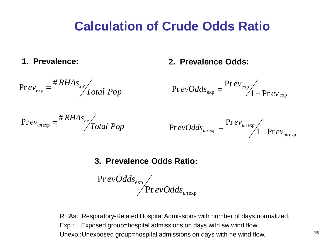## **Calculation of Crude Odds Ratio**

**1. Prevalence:**

### **2. Prevalence Odds:**

$$
\text{Pr} \, ev_{\text{exp}} = \frac{\# RHAs_{\text{sw}}}{\text{Total Pop}}
$$

$$
\Pr{evOdds_{\exp}} = \frac{\Pr{ev_{\exp}}}{1 - \Pr{ev_{\exp}}}
$$

$$
\text{Pr}\,ev_{\text{unexp}} = \frac{\# RHAs_{\text{ne}}}{\text{Total Pop}}
$$

$$
\Pr{evOdds_{unexp}} = \frac{\Pr{ev_{unexp}}}{\sqrt{1 - \Pr{ev_{unexp}}}}
$$

### **3. Prevalence Odds Ratio:**

exp exp Pr Pr *un evOdds evOdds*

RHAs: Respiratory-Related Hospital Admissions with number of days normalized. Exp.: Exposed group=hospital admissions on days with sw wind flow.

Unexp.:Unexposed group=hospital admissions on days with ne wind flow.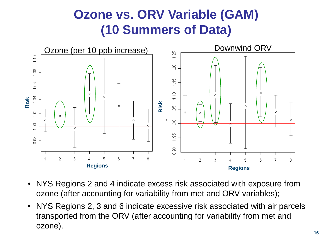# **Ozone vs. ORV Variable (GAM) (10 Summers of Data)**



- NYS Regions 2 and 4 indicate excess risk associated with exposure from ozone (after accounting for variability from met and ORV variables);
- NYS Regions 2, 3 and 6 indicate excessive risk associated with air parcels transported from the ORV (after accounting for variability from met and ozone).